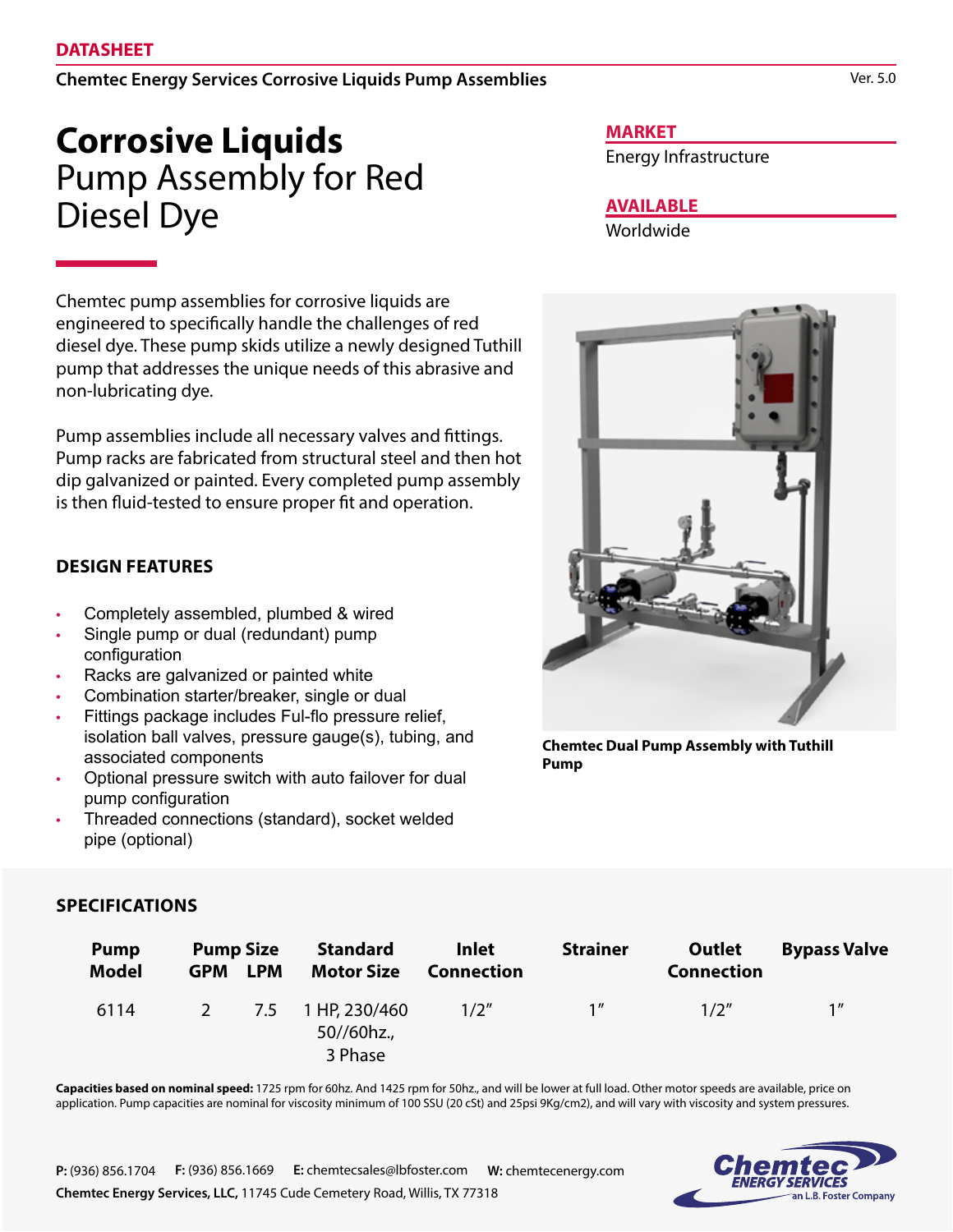Chemtec Energy Services Corrosive Liquids Pump Assemblies

# **Corrosive Liquids** Pump Assembly for Red Diesel Dye

Chemtec pump assemblies for corrosive liquids are engineered to specifically handle the challenges of red diesel dye. These pump skids utilize a newly designed Tuthill pump that addresses the unique needs of this abrasive and non-lubricating dye.

Pump assemblies include all necessary valves and fittings. Pump racks are fabricated from structural steel and then hot dip galvanized or painted. Every completed pump assembly is then fluid-tested to ensure proper fit and operation.

## **DESIGN FEATURES**

- Completely assembled, plumbed & wired
- Single pump or dual (redundant) pump configuration
- Racks are galvanized or painted white
- Combination starter/breaker, single or dual
- Fittings package includes Ful-flo pressure relief, isolation ball valves, pressure gauge(s), tubing, and associated components
- Optional pressure switch with auto failover for dual pump configuration
- Threaded connections (standard), socket welded pipe (optional)

#### **MARKET**

Energy Infrastructure

## **AVAILABLE**

Worldwide



**Chemtec Dual Pump Assembly with Tuthill Pump**

## **SPECIFICATIONS**

| <b>Pump</b><br><b>Model</b> | <b>Pump Size</b><br><b>GPM</b> | <b>LPM</b> | <b>Standard</b><br><b>Motor Size</b>   | <b>Inlet</b><br><b>Connection</b> | <b>Strainer</b> | Outlet<br><b>Connection</b> | <b>Bypass Valve</b> |
|-----------------------------|--------------------------------|------------|----------------------------------------|-----------------------------------|-----------------|-----------------------------|---------------------|
| 6114                        | $2 \left( \frac{1}{2} \right)$ | 7.5        | 1 HP, 230/460<br>50//60hz.,<br>3 Phase | 1/2''                             | 1 <sup>''</sup> | 1/2''                       | 1 <sup>''</sup>     |

**Capacities based on nominal speed:** 1725 rpm for 60hz. And 1425 rpm for 50hz., and will be lower at full load. Other motor speeds are available, price on application. Pump capacities are nominal for viscosity minimum of 100 SSU (20 cSt) and 25psi 9Kg/cm2), and will vary with viscosity and system pressures.